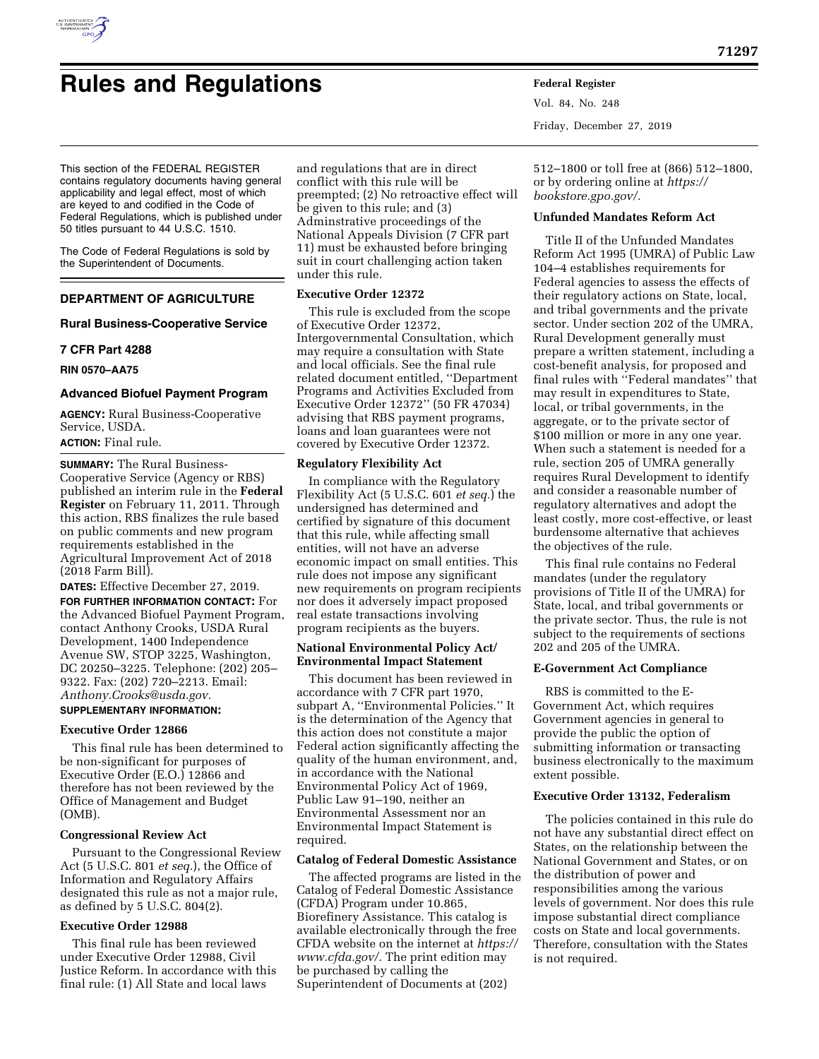

# **Rules and Regulations Federal Register**

Vol. 84, No. 248 Friday, December 27, 2019

512–1800 or toll free at (866) 512–1800, or by ordering online at *[https://](https://bookstore.gpo.gov/) [bookstore.gpo.gov/.](https://bookstore.gpo.gov/)* 

## **Unfunded Mandates Reform Act**

Title II of the Unfunded Mandates Reform Act 1995 (UMRA) of Public Law 104–4 establishes requirements for Federal agencies to assess the effects of their regulatory actions on State, local, and tribal governments and the private sector. Under section 202 of the UMRA, Rural Development generally must prepare a written statement, including a cost-benefit analysis, for proposed and final rules with ''Federal mandates'' that may result in expenditures to State, local, or tribal governments, in the aggregate, or to the private sector of \$100 million or more in any one year. When such a statement is needed for a rule, section 205 of UMRA generally requires Rural Development to identify and consider a reasonable number of regulatory alternatives and adopt the least costly, more cost-effective, or least burdensome alternative that achieves the objectives of the rule.

This final rule contains no Federal mandates (under the regulatory provisions of Title II of the UMRA) for State, local, and tribal governments or the private sector. Thus, the rule is not subject to the requirements of sections 202 and 205 of the UMRA.

#### **E-Government Act Compliance**

RBS is committed to the E-Government Act, which requires Government agencies in general to provide the public the option of submitting information or transacting business electronically to the maximum extent possible.

#### **Executive Order 13132, Federalism**

The policies contained in this rule do not have any substantial direct effect on States, on the relationship between the National Government and States, or on the distribution of power and responsibilities among the various levels of government. Nor does this rule impose substantial direct compliance costs on State and local governments. Therefore, consultation with the States is not required.

This section of the FEDERAL REGISTER contains regulatory documents having general applicability and legal effect, most of which are keyed to and codified in the Code of Federal Regulations, which is published under 50 titles pursuant to 44 U.S.C. 1510.

The Code of Federal Regulations is sold by the Superintendent of Documents.

# **DEPARTMENT OF AGRICULTURE**

## **Rural Business-Cooperative Service**

### **7 CFR Part 4288**

**RIN 0570–AA75** 

## **Advanced Biofuel Payment Program**

**AGENCY:** Rural Business-Cooperative Service, USDA. **ACTION:** Final rule.

**SUMMARY:** The Rural Business-Cooperative Service (Agency or RBS) published an interim rule in the **Federal Register** on February 11, 2011. Through this action, RBS finalizes the rule based on public comments and new program requirements established in the Agricultural Improvement Act of 2018 (2018 Farm Bill).

**DATES:** Effective December 27, 2019.

**FOR FURTHER INFORMATION CONTACT:** For the Advanced Biofuel Payment Program, contact Anthony Crooks, USDA Rural Development, 1400 Independence Avenue SW, STOP 3225, Washington, DC 20250–3225. Telephone: (202) 205– 9322. Fax: (202) 720–2213. Email: *[Anthony.Crooks@usda.gov.](mailto:Anthony.Crooks@usda.gov)* 

# **SUPPLEMENTARY INFORMATION:**

## **Executive Order 12866**

This final rule has been determined to be non-significant for purposes of Executive Order (E.O.) 12866 and therefore has not been reviewed by the Office of Management and Budget (OMB).

## **Congressional Review Act**

Pursuant to the Congressional Review Act (5 U.S.C. 801 *et seq.*), the Office of Information and Regulatory Affairs designated this rule as not a major rule, as defined by 5 U.S.C. 804(2).

## **Executive Order 12988**

This final rule has been reviewed under Executive Order 12988, Civil Justice Reform. In accordance with this final rule: (1) All State and local laws

and regulations that are in direct conflict with this rule will be preempted; (2) No retroactive effect will be given to this rule; and (3) Adminstrative proceedings of the National Appeals Division (7 CFR part 11) must be exhausted before bringing suit in court challenging action taken under this rule.

## **Executive Order 12372**

This rule is excluded from the scope of Executive Order 12372, Intergovernmental Consultation, which may require a consultation with State and local officials. See the final rule related document entitled, ''Department Programs and Activities Excluded from Executive Order 12372'' (50 FR 47034) advising that RBS payment programs, loans and loan guarantees were not covered by Executive Order 12372.

### **Regulatory Flexibility Act**

In compliance with the Regulatory Flexibility Act (5 U.S.C. 601 *et seq.*) the undersigned has determined and certified by signature of this document that this rule, while affecting small entities, will not have an adverse economic impact on small entities. This rule does not impose any significant new requirements on program recipients nor does it adversely impact proposed real estate transactions involving program recipients as the buyers.

## **National Environmental Policy Act/ Environmental Impact Statement**

This document has been reviewed in accordance with 7 CFR part 1970, subpart A, ''Environmental Policies.'' It is the determination of the Agency that this action does not constitute a major Federal action significantly affecting the quality of the human environment, and, in accordance with the National Environmental Policy Act of 1969, Public Law 91–190, neither an Environmental Assessment nor an Environmental Impact Statement is required.

#### **Catalog of Federal Domestic Assistance**

The affected programs are listed in the Catalog of Federal Domestic Assistance (CFDA) Program under 10.865, Biorefinery Assistance. This catalog is available electronically through the free CFDA website on the internet at *[https://](https://www.cfda.gov/) [www.cfda.gov/.](https://www.cfda.gov/)* The print edition may be purchased by calling the Superintendent of Documents at (202)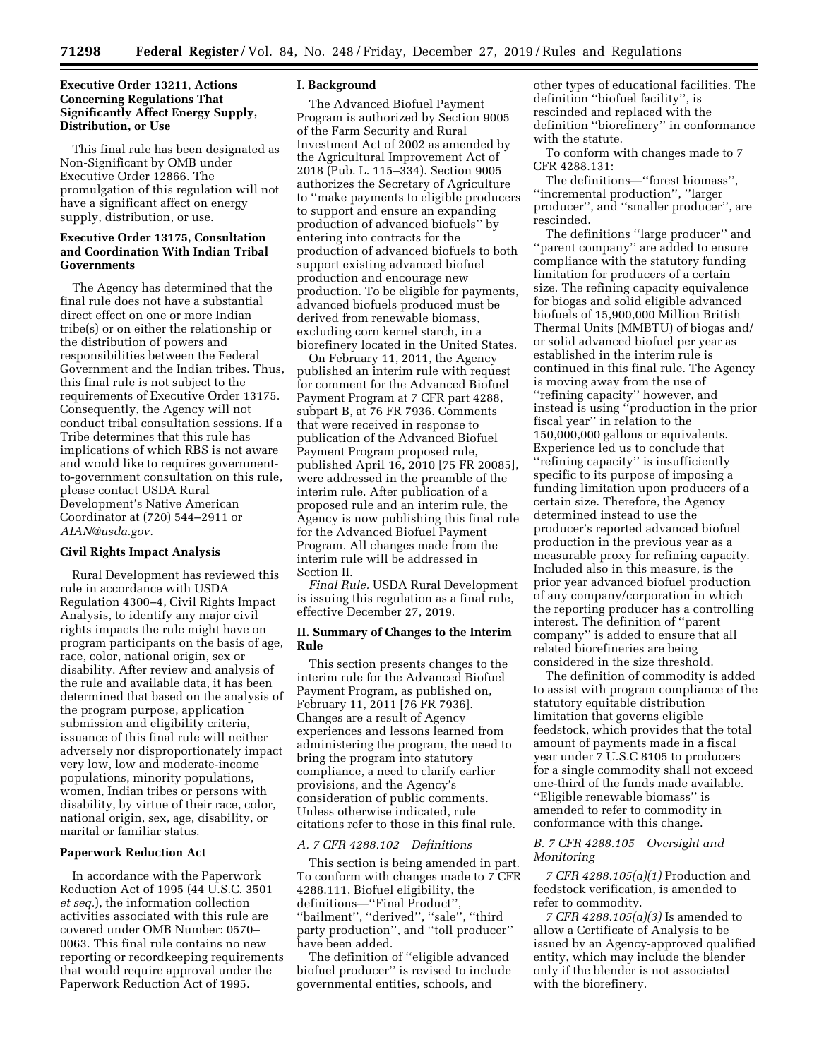## **Executive Order 13211, Actions Concerning Regulations That Significantly Affect Energy Supply, Distribution, or Use**

This final rule has been designated as Non-Significant by OMB under Executive Order 12866. The promulgation of this regulation will not have a significant affect on energy supply, distribution, or use.

## **Executive Order 13175, Consultation and Coordination With Indian Tribal Governments**

The Agency has determined that the final rule does not have a substantial direct effect on one or more Indian tribe(s) or on either the relationship or the distribution of powers and responsibilities between the Federal Government and the Indian tribes. Thus, this final rule is not subject to the requirements of Executive Order 13175. Consequently, the Agency will not conduct tribal consultation sessions. If a Tribe determines that this rule has implications of which RBS is not aware and would like to requires governmentto-government consultation on this rule, please contact USDA Rural Development's Native American Coordinator at (720) 544–2911 or *[AIAN@usda.gov.](mailto:AIAN@usda.gov)* 

#### **Civil Rights Impact Analysis**

Rural Development has reviewed this rule in accordance with USDA Regulation 4300–4, Civil Rights Impact Analysis, to identify any major civil rights impacts the rule might have on program participants on the basis of age, race, color, national origin, sex or disability. After review and analysis of the rule and available data, it has been determined that based on the analysis of the program purpose, application submission and eligibility criteria, issuance of this final rule will neither adversely nor disproportionately impact very low, low and moderate-income populations, minority populations, women, Indian tribes or persons with disability, by virtue of their race, color, national origin, sex, age, disability, or marital or familiar status.

#### **Paperwork Reduction Act**

In accordance with the Paperwork Reduction Act of 1995 (44 U.S.C. 3501 *et seq.*), the information collection activities associated with this rule are covered under OMB Number: 0570– 0063. This final rule contains no new reporting or recordkeeping requirements that would require approval under the Paperwork Reduction Act of 1995.

#### **I. Background**

The Advanced Biofuel Payment Program is authorized by Section 9005 of the Farm Security and Rural Investment Act of 2002 as amended by the Agricultural Improvement Act of 2018 (Pub. L. 115–334). Section 9005 authorizes the Secretary of Agriculture to ''make payments to eligible producers to support and ensure an expanding production of advanced biofuels'' by entering into contracts for the production of advanced biofuels to both support existing advanced biofuel production and encourage new production. To be eligible for payments, advanced biofuels produced must be derived from renewable biomass, excluding corn kernel starch, in a biorefinery located in the United States.

On February 11, 2011, the Agency published an interim rule with request for comment for the Advanced Biofuel Payment Program at 7 CFR part 4288, subpart B, at 76 FR 7936. Comments that were received in response to publication of the Advanced Biofuel Payment Program proposed rule, published April 16, 2010 [75 FR 20085], were addressed in the preamble of the interim rule. After publication of a proposed rule and an interim rule, the Agency is now publishing this final rule for the Advanced Biofuel Payment Program. All changes made from the interim rule will be addressed in Section II.

*Final Rule.* USDA Rural Development is issuing this regulation as a final rule, effective December 27, 2019.

#### **II. Summary of Changes to the Interim Rule**

This section presents changes to the interim rule for the Advanced Biofuel Payment Program, as published on, February 11, 2011 [76 FR 7936]. Changes are a result of Agency experiences and lessons learned from administering the program, the need to bring the program into statutory compliance, a need to clarify earlier provisions, and the Agency's consideration of public comments. Unless otherwise indicated, rule citations refer to those in this final rule.

#### *A. 7 CFR 4288.102 Definitions*

This section is being amended in part. To conform with changes made to 7 CFR 4288.111, Biofuel eligibility, the definitions—"Final Product" ''bailment'', ''derived'', ''sale'', ''third party production'', and ''toll producer'' have been added.

The definition of ''eligible advanced biofuel producer'' is revised to include governmental entities, schools, and

other types of educational facilities. The definition ''biofuel facility'', is rescinded and replaced with the definition ''biorefinery'' in conformance with the statute.

To conform with changes made to 7 CFR 4288.131:

The definitions—''forest biomass'', ''incremental production'', ''larger producer'', and ''smaller producer'', are rescinded.

The definitions ''large producer'' and ''parent company'' are added to ensure compliance with the statutory funding limitation for producers of a certain size. The refining capacity equivalence for biogas and solid eligible advanced biofuels of 15,900,000 Million British Thermal Units (MMBTU) of biogas and/ or solid advanced biofuel per year as established in the interim rule is continued in this final rule. The Agency is moving away from the use of ''refining capacity'' however, and instead is using ''production in the prior fiscal year'' in relation to the 150,000,000 gallons or equivalents. Experience led us to conclude that ''refining capacity'' is insufficiently specific to its purpose of imposing a funding limitation upon producers of a certain size. Therefore, the Agency determined instead to use the producer's reported advanced biofuel production in the previous year as a measurable proxy for refining capacity. Included also in this measure, is the prior year advanced biofuel production of any company/corporation in which the reporting producer has a controlling interest. The definition of ''parent company'' is added to ensure that all related biorefineries are being considered in the size threshold.

The definition of commodity is added to assist with program compliance of the statutory equitable distribution limitation that governs eligible feedstock, which provides that the total amount of payments made in a fiscal year under 7 U.S.C 8105 to producers for a single commodity shall not exceed one-third of the funds made available. ''Eligible renewable biomass'' is amended to refer to commodity in conformance with this change.

#### *B. 7 CFR 4288.105 Oversight and Monitoring*

*7 CFR 4288.105(a)(1)* Production and feedstock verification, is amended to refer to commodity.

*7 CFR 4288.105(a)(3)* Is amended to allow a Certificate of Analysis to be issued by an Agency-approved qualified entity, which may include the blender only if the blender is not associated with the biorefinery.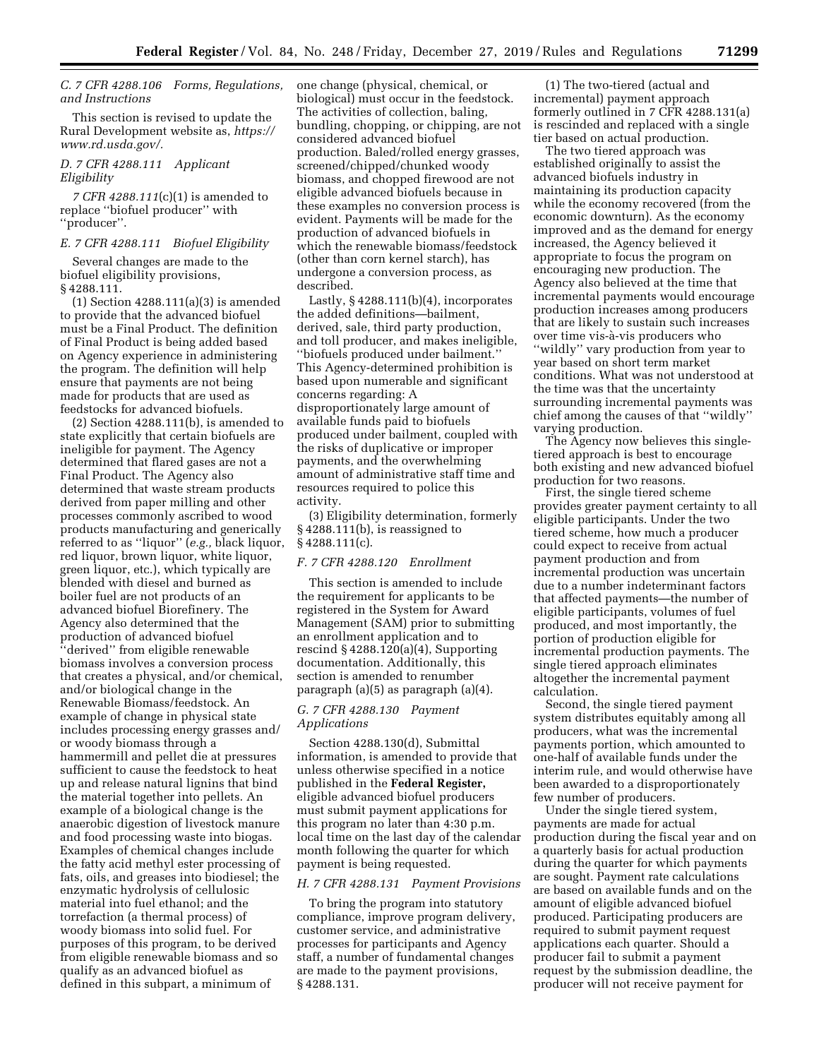## *C. 7 CFR 4288.106 Forms, Regulations, and Instructions*

This section is revised to update the Rural Development website as, *[https://](https://www.rd.usda.gov/) [www.rd.usda.gov/.](https://www.rd.usda.gov/)* 

#### *D. 7 CFR 4288.111 Applicant Eligibility*

*7 CFR 4288.111*(c)(1) is amended to replace ''biofuel producer'' with ''producer''.

## *E. 7 CFR 4288.111 Biofuel Eligibility*

Several changes are made to the biofuel eligibility provisions, § 4288.111.

(1) Section 4288.111(a)(3) is amended to provide that the advanced biofuel must be a Final Product. The definition of Final Product is being added based on Agency experience in administering the program. The definition will help ensure that payments are not being made for products that are used as feedstocks for advanced biofuels.

(2) Section 4288.111(b), is amended to state explicitly that certain biofuels are ineligible for payment. The Agency determined that flared gases are not a Final Product. The Agency also determined that waste stream products derived from paper milling and other processes commonly ascribed to wood products manufacturing and generically referred to as ''liquor'' (*e.g.,* black liquor, red liquor, brown liquor, white liquor, green liquor, etc.), which typically are blended with diesel and burned as boiler fuel are not products of an advanced biofuel Biorefinery. The Agency also determined that the production of advanced biofuel 'derived'' from eligible renewable biomass involves a conversion process that creates a physical, and/or chemical, and/or biological change in the Renewable Biomass/feedstock. An example of change in physical state includes processing energy grasses and/ or woody biomass through a hammermill and pellet die at pressures sufficient to cause the feedstock to heat up and release natural lignins that bind the material together into pellets. An example of a biological change is the anaerobic digestion of livestock manure and food processing waste into biogas. Examples of chemical changes include the fatty acid methyl ester processing of fats, oils, and greases into biodiesel; the enzymatic hydrolysis of cellulosic material into fuel ethanol; and the torrefaction (a thermal process) of woody biomass into solid fuel. For purposes of this program, to be derived from eligible renewable biomass and so qualify as an advanced biofuel as defined in this subpart, a minimum of

one change (physical, chemical, or biological) must occur in the feedstock. The activities of collection, baling, bundling, chopping, or chipping, are not considered advanced biofuel production. Baled/rolled energy grasses, screened/chipped/chunked woody biomass, and chopped firewood are not eligible advanced biofuels because in these examples no conversion process is evident. Payments will be made for the production of advanced biofuels in which the renewable biomass/feedstock (other than corn kernel starch), has undergone a conversion process, as described.

Lastly,  $§$  4288.111(b)(4), incorporates the added definitions—bailment, derived, sale, third party production, and toll producer, and makes ineligible, ''biofuels produced under bailment.'' This Agency-determined prohibition is based upon numerable and significant concerns regarding: A disproportionately large amount of available funds paid to biofuels produced under bailment, coupled with the risks of duplicative or improper payments, and the overwhelming amount of administrative staff time and resources required to police this activity.

(3) Eligibility determination, formerly § 4288.111(b), is reassigned to § 4288.111(c).

#### *F. 7 CFR 4288.120 Enrollment*

This section is amended to include the requirement for applicants to be registered in the System for Award Management (SAM) prior to submitting an enrollment application and to rescind  $§$  4288.120(a)(4), Supporting documentation. Additionally, this section is amended to renumber paragraph (a)(5) as paragraph (a)(4).

#### *G. 7 CFR 4288.130 Payment Applications*

Section 4288.130(d), Submittal information, is amended to provide that unless otherwise specified in a notice published in the **Federal Register,**  eligible advanced biofuel producers must submit payment applications for this program no later than 4:30 p.m. local time on the last day of the calendar month following the quarter for which payment is being requested.

### *H. 7 CFR 4288.131 Payment Provisions*

To bring the program into statutory compliance, improve program delivery, customer service, and administrative processes for participants and Agency staff, a number of fundamental changes are made to the payment provisions, § 4288.131.

(1) The two-tiered (actual and incremental) payment approach formerly outlined in 7 CFR 4288.131(a) is rescinded and replaced with a single tier based on actual production.

The two tiered approach was established originally to assist the advanced biofuels industry in maintaining its production capacity while the economy recovered (from the economic downturn). As the economy improved and as the demand for energy increased, the Agency believed it appropriate to focus the program on encouraging new production. The Agency also believed at the time that incremental payments would encourage production increases among producers that are likely to sustain such increases over time vis-a`-vis producers who ''wildly'' vary production from year to year based on short term market conditions. What was not understood at the time was that the uncertainty surrounding incremental payments was chief among the causes of that ''wildly'' varying production.

The Agency now believes this singletiered approach is best to encourage both existing and new advanced biofuel production for two reasons.

First, the single tiered scheme provides greater payment certainty to all eligible participants. Under the two tiered scheme, how much a producer could expect to receive from actual payment production and from incremental production was uncertain due to a number indeterminant factors that affected payments—the number of eligible participants, volumes of fuel produced, and most importantly, the portion of production eligible for incremental production payments. The single tiered approach eliminates altogether the incremental payment calculation.

Second, the single tiered payment system distributes equitably among all producers, what was the incremental payments portion, which amounted to one-half of available funds under the interim rule, and would otherwise have been awarded to a disproportionately few number of producers.

Under the single tiered system, payments are made for actual production during the fiscal year and on a quarterly basis for actual production during the quarter for which payments are sought. Payment rate calculations are based on available funds and on the amount of eligible advanced biofuel produced. Participating producers are required to submit payment request applications each quarter. Should a producer fail to submit a payment request by the submission deadline, the producer will not receive payment for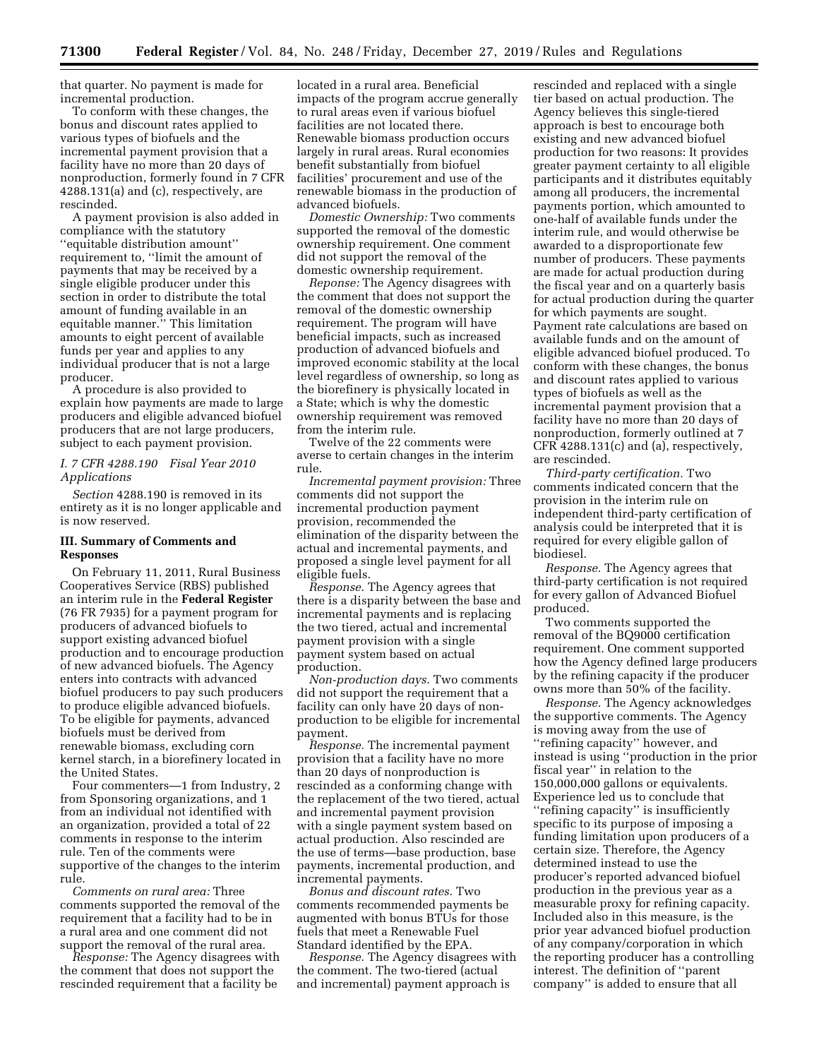that quarter. No payment is made for incremental production.

To conform with these changes, the bonus and discount rates applied to various types of biofuels and the incremental payment provision that a facility have no more than 20 days of nonproduction, formerly found in 7 CFR 4288.131(a) and (c), respectively, are rescinded.

A payment provision is also added in compliance with the statutory ''equitable distribution amount'' requirement to, ''limit the amount of payments that may be received by a single eligible producer under this section in order to distribute the total amount of funding available in an equitable manner.'' This limitation amounts to eight percent of available funds per year and applies to any individual producer that is not a large producer.

A procedure is also provided to explain how payments are made to large producers and eligible advanced biofuel producers that are not large producers, subject to each payment provision.

#### *I. 7 CFR 4288.190 Fisal Year 2010 Applications*

*Section* 4288.190 is removed in its entirety as it is no longer applicable and is now reserved.

## **III. Summary of Comments and Responses**

On February 11, 2011, Rural Business Cooperatives Service (RBS) published an interim rule in the **Federal Register**  (76 FR 7935) for a payment program for producers of advanced biofuels to support existing advanced biofuel production and to encourage production of new advanced biofuels. The Agency enters into contracts with advanced biofuel producers to pay such producers to produce eligible advanced biofuels. To be eligible for payments, advanced biofuels must be derived from renewable biomass, excluding corn kernel starch, in a biorefinery located in the United States.

Four commenters—1 from Industry, 2 from Sponsoring organizations, and 1 from an individual not identified with an organization, provided a total of 22 comments in response to the interim rule. Ten of the comments were supportive of the changes to the interim rule.

*Comments on rural area:* Three comments supported the removal of the requirement that a facility had to be in a rural area and one comment did not support the removal of the rural area.

*Response:* The Agency disagrees with the comment that does not support the rescinded requirement that a facility be

located in a rural area. Beneficial impacts of the program accrue generally to rural areas even if various biofuel facilities are not located there. Renewable biomass production occurs largely in rural areas. Rural economies benefit substantially from biofuel facilities' procurement and use of the renewable biomass in the production of advanced biofuels.

*Domestic Ownership:* Two comments supported the removal of the domestic ownership requirement. One comment did not support the removal of the domestic ownership requirement.

*Reponse:* The Agency disagrees with the comment that does not support the removal of the domestic ownership requirement. The program will have beneficial impacts, such as increased production of advanced biofuels and improved economic stability at the local level regardless of ownership, so long as the biorefinery is physically located in a State; which is why the domestic ownership requirement was removed from the interim rule.

Twelve of the 22 comments were averse to certain changes in the interim rule.

*Incremental payment provision:* Three comments did not support the incremental production payment provision, recommended the elimination of the disparity between the actual and incremental payments, and proposed a single level payment for all eligible fuels.

*Response.* The Agency agrees that there is a disparity between the base and incremental payments and is replacing the two tiered, actual and incremental payment provision with a single payment system based on actual production.

*Non-production days.* Two comments did not support the requirement that a facility can only have 20 days of nonproduction to be eligible for incremental payment.

*Response.* The incremental payment provision that a facility have no more than 20 days of nonproduction is rescinded as a conforming change with the replacement of the two tiered, actual and incremental payment provision with a single payment system based on actual production. Also rescinded are the use of terms—base production, base payments, incremental production, and incremental payments.

*Bonus and discount rates.* Two comments recommended payments be augmented with bonus BTUs for those fuels that meet a Renewable Fuel Standard identified by the EPA.

*Response.* The Agency disagrees with the comment. The two-tiered (actual and incremental) payment approach is

rescinded and replaced with a single tier based on actual production. The Agency believes this single-tiered approach is best to encourage both existing and new advanced biofuel production for two reasons: It provides greater payment certainty to all eligible participants and it distributes equitably among all producers, the incremental payments portion, which amounted to one-half of available funds under the interim rule, and would otherwise be awarded to a disproportionate few number of producers. These payments are made for actual production during the fiscal year and on a quarterly basis for actual production during the quarter for which payments are sought. Payment rate calculations are based on available funds and on the amount of eligible advanced biofuel produced. To conform with these changes, the bonus and discount rates applied to various types of biofuels as well as the incremental payment provision that a facility have no more than 20 days of nonproduction, formerly outlined at 7 CFR 4288.131(c) and (a), respectively, are rescinded.

*Third-party certification.* Two comments indicated concern that the provision in the interim rule on independent third-party certification of analysis could be interpreted that it is required for every eligible gallon of biodiesel.

*Response.* The Agency agrees that third-party certification is not required for every gallon of Advanced Biofuel produced.

Two comments supported the removal of the BQ9000 certification requirement. One comment supported how the Agency defined large producers by the refining capacity if the producer owns more than 50% of the facility.

*Response.* The Agency acknowledges the supportive comments. The Agency is moving away from the use of ''refining capacity'' however, and instead is using ''production in the prior fiscal year'' in relation to the 150,000,000 gallons or equivalents. Experience led us to conclude that ''refining capacity'' is insufficiently specific to its purpose of imposing a funding limitation upon producers of a certain size. Therefore, the Agency determined instead to use the producer's reported advanced biofuel production in the previous year as a measurable proxy for refining capacity. Included also in this measure, is the prior year advanced biofuel production of any company/corporation in which the reporting producer has a controlling interest. The definition of ''parent company'' is added to ensure that all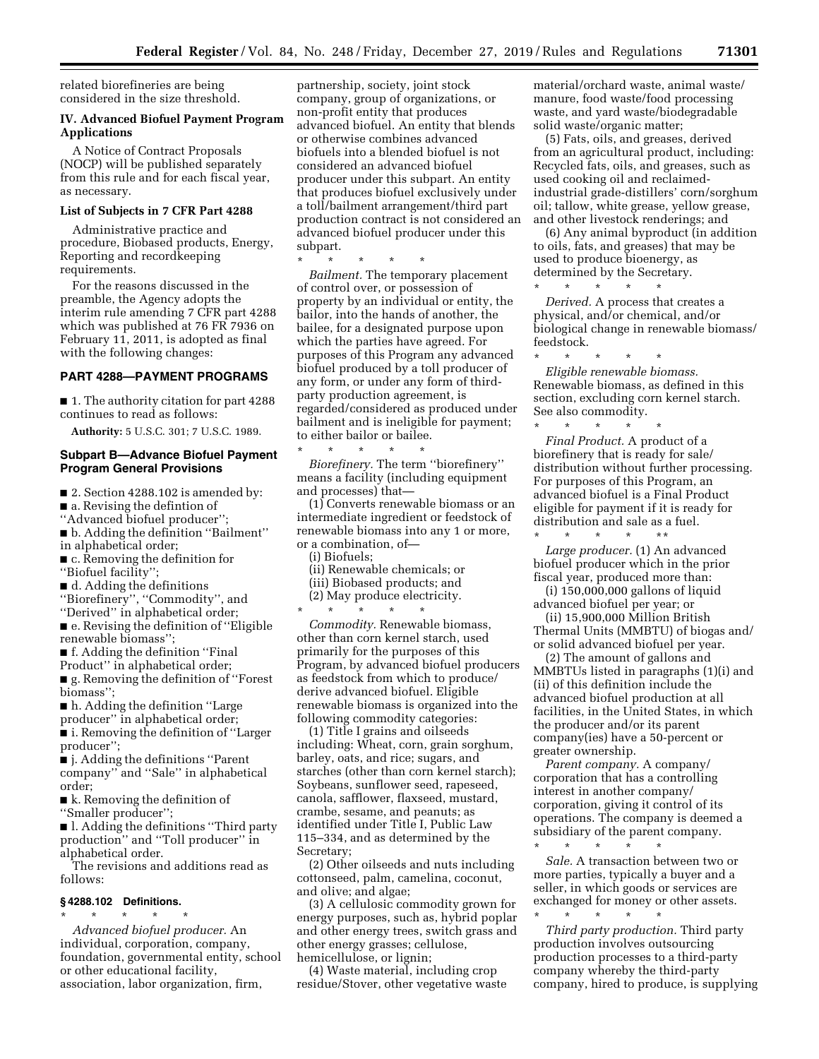related biorefineries are being considered in the size threshold.

#### **IV. Advanced Biofuel Payment Program Applications**

A Notice of Contract Proposals (NOCP) will be published separately from this rule and for each fiscal year, as necessary.

## **List of Subjects in 7 CFR Part 4288**

Administrative practice and procedure, Biobased products, Energy, Reporting and recordkeeping requirements.

For the reasons discussed in the preamble, the Agency adopts the interim rule amending 7 CFR part 4288 which was published at 76 FR 7936 on February 11, 2011, is adopted as final with the following changes:

#### **PART 4288—PAYMENT PROGRAMS**

■ 1. The authority citation for part 4288 continues to read as follows:

**Authority:** 5 U.S.C. 301; 7 U.S.C. 1989.

## **Subpart B—Advance Biofuel Payment Program General Provisions**

■ 2. Section 4288.102 is amended by:

■ a. Revising the defintion of

''Advanced biofuel producer'';

■ b. Adding the definition "Bailment" in alphabetical order;

■ c. Removing the definition for

''Biofuel facility'';

■ d. Adding the definitions

''Biorefinery'', ''Commodity'', and ''Derived'' in alphabetical order;

■ e. Revising the definition of "Eligible renewable biomass'';

■ f. Adding the definition "Final

Product'' in alphabetical order;

■ g. Removing the definition of "Forest" biomass'';

■ h. Adding the definition "Large

producer'' in alphabetical order;

■ i. Removing the definition of "Larger producer'';

■ **j.** Adding the definitions "Parent company'' and ''Sale'' in alphabetical order;

■ k. Removing the definition of ''Smaller producer'';

■ l. Adding the definitions "Third party" production'' and ''Toll producer'' in alphabetical order.

The revisions and additions read as follows:

#### **§ 4288.102 Definitions.**

\* \* \* \* \* *Advanced biofuel producer.* An individual, corporation, company, foundation, governmental entity, school or other educational facility, association, labor organization, firm,

partnership, society, joint stock company, group of organizations, or non-profit entity that produces advanced biofuel. An entity that blends or otherwise combines advanced biofuels into a blended biofuel is not considered an advanced biofuel producer under this subpart. An entity that produces biofuel exclusively under a toll/bailment arrangement/third part production contract is not considered an advanced biofuel producer under this subpart.

\* \* \* \* \* *Bailment.* The temporary placement of control over, or possession of property by an individual or entity, the bailor, into the hands of another, the bailee, for a designated purpose upon which the parties have agreed. For purposes of this Program any advanced biofuel produced by a toll producer of any form, or under any form of thirdparty production agreement, is regarded/considered as produced under bailment and is ineligible for payment; to either bailor or bailee.

\* \* \* \* \* *Biorefinery.* The term ''biorefinery'' means a facility (including equipment and processes) that—

(1) Converts renewable biomass or an intermediate ingredient or feedstock of renewable biomass into any 1 or more, or a combination, of—

(i) Biofuels;

(ii) Renewable chemicals; or (iii) Biobased products; and (2) May produce electricity.

\* \* \* \* \*

*Commodity.* Renewable biomass, other than corn kernel starch, used primarily for the purposes of this Program, by advanced biofuel producers as feedstock from which to produce/ derive advanced biofuel. Eligible renewable biomass is organized into the following commodity categories:

(1) Title I grains and oilseeds including: Wheat, corn, grain sorghum, barley, oats, and rice; sugars, and starches (other than corn kernel starch); Soybeans, sunflower seed, rapeseed, canola, safflower, flaxseed, mustard, crambe, sesame, and peanuts; as identified under Title I, Public Law 115–334, and as determined by the Secretary;

(2) Other oilseeds and nuts including cottonseed, palm, camelina, coconut, and olive; and algae;

(3) A cellulosic commodity grown for energy purposes, such as, hybrid poplar and other energy trees, switch grass and other energy grasses; cellulose, hemicellulose, or lignin;

(4) Waste material, including crop residue/Stover, other vegetative waste material/orchard waste, animal waste/ manure, food waste/food processing waste, and yard waste/biodegradable solid waste/organic matter;

(5) Fats, oils, and greases, derived from an agricultural product, including: Recycled fats, oils, and greases, such as used cooking oil and reclaimedindustrial grade-distillers' corn/sorghum oil; tallow, white grease, yellow grease, and other livestock renderings; and

(6) Any animal byproduct (in addition to oils, fats, and greases) that may be used to produce bioenergy, as determined by the Secretary. \* \* \* \* \*

*Derived.* A process that creates a physical, and/or chemical, and/or biological change in renewable biomass/ feedstock.

\* \* \* \* \* *Eligible renewable biomass.*  Renewable biomass, as defined in this section, excluding corn kernel starch. See also commodity.

\* \* \* \* \* *Final Product.* A product of a biorefinery that is ready for sale/ distribution without further processing. For purposes of this Program, an advanced biofuel is a Final Product eligible for payment if it is ready for distribution and sale as a fuel.

\* \* \* \* \*\* *Large producer.* (1) An advanced biofuel producer which in the prior fiscal year, produced more than:

(i) 150,000,000 gallons of liquid advanced biofuel per year; or

(ii) 15,900,000 Million British Thermal Units (MMBTU) of biogas and/ or solid advanced biofuel per year.

(2) The amount of gallons and MMBTUs listed in paragraphs (1)(i) and (ii) of this definition include the advanced biofuel production at all facilities, in the United States, in which the producer and/or its parent company(ies) have a 50-percent or greater ownership.

*Parent company.* A company/ corporation that has a controlling interest in another company/ corporation, giving it control of its operations. The company is deemed a subsidiary of the parent company.

\* \* \* \* \*

*Sale.* A transaction between two or more parties, typically a buyer and a seller, in which goods or services are exchanged for money or other assets. \* \* \* \* \*

*Third party production.* Third party production involves outsourcing production processes to a third-party company whereby the third-party company, hired to produce, is supplying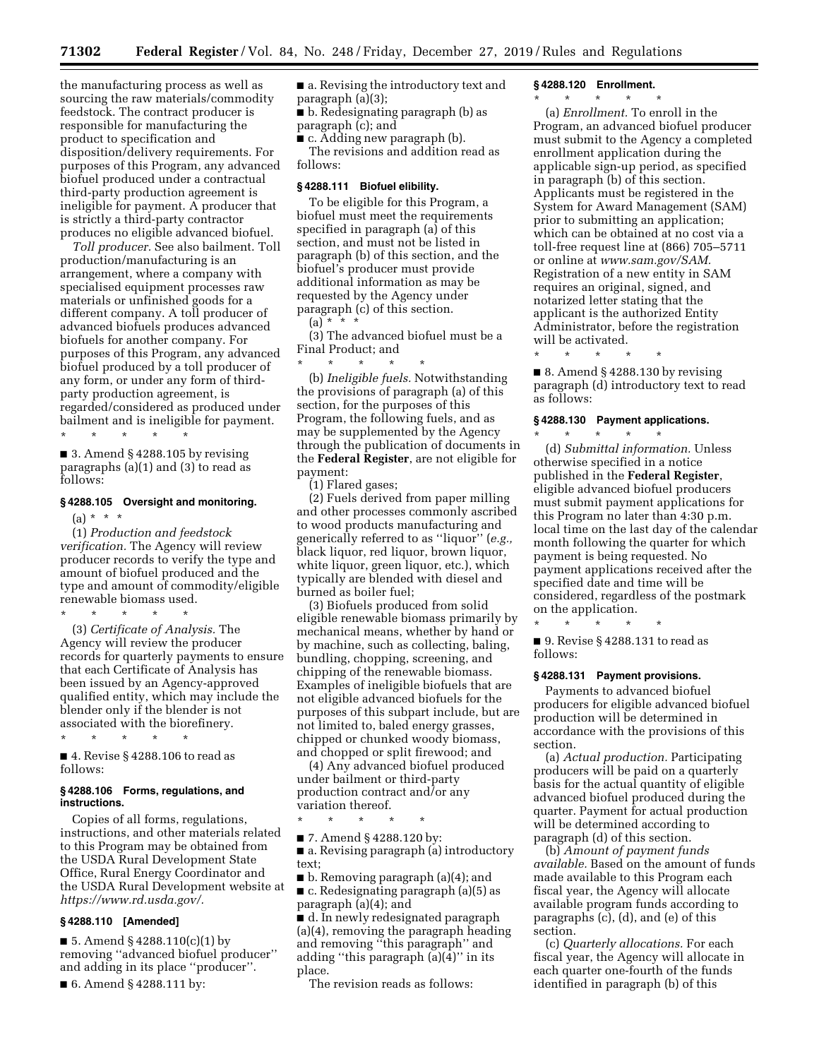the manufacturing process as well as sourcing the raw materials/commodity feedstock. The contract producer is responsible for manufacturing the product to specification and disposition/delivery requirements. For purposes of this Program, any advanced biofuel produced under a contractual third-party production agreement is ineligible for payment. A producer that is strictly a third-party contractor produces no eligible advanced biofuel.

*Toll producer.* See also bailment. Toll production/manufacturing is an arrangement, where a company with specialised equipment processes raw materials or unfinished goods for a different company. A toll producer of advanced biofuels produces advanced biofuels for another company. For purposes of this Program, any advanced biofuel produced by a toll producer of any form, or under any form of thirdparty production agreement, is regarded/considered as produced under bailment and is ineligible for payment.

 $\blacksquare$  3. Amend § 4288.105 by revising paragraphs (a)(1) and (3) to read as follows:

\* \* \* \* \*

#### **§ 4288.105 Oversight and monitoring.**

 $(a) * * * *$ 

(1) *Production and feedstock verification.* The Agency will review producer records to verify the type and amount of biofuel produced and the type and amount of commodity/eligible renewable biomass used.

\* \* \* \* \* (3) *Certificate of Analysis.* The Agency will review the producer records for quarterly payments to ensure that each Certificate of Analysis has been issued by an Agency-approved qualified entity, which may include the blender only if the blender is not associated with the biorefinery.

\* \* \* \* \* ■ 4. Revise § 4288.106 to read as follows:

#### **§ 4288.106 Forms, regulations, and instructions.**

Copies of all forms, regulations, instructions, and other materials related to this Program may be obtained from the USDA Rural Development State Office, Rural Energy Coordinator and the USDA Rural Development website at *[https://www.rd.usda.gov/.](https://www.rd.usda.gov/)* 

## **§ 4288.110 [Amended]**

■ 5. Amend § 4288.110(c)(1) by removing ''advanced biofuel producer'' and adding in its place ''producer''.

■ 6. Amend § 4288.111 by:

■ a. Revising the introductory text and paragraph (a)(3);

■ b. Redesignating paragraph (b) as paragraph (c); and

■ c. Adding new paragraph (b). The revisions and addition read as follows:

#### **§ 4288.111 Biofuel elibility.**

To be eligible for this Program, a biofuel must meet the requirements specified in paragraph (a) of this section, and must not be listed in paragraph (b) of this section, and the biofuel's producer must provide additional information as may be requested by the Agency under paragraph (c) of this section.  $(a)$  \* \* \*

(3) The advanced biofuel must be a Final Product; and

\* \* \* \* \*

(b) *Ineligible fuels.* Notwithstanding the provisions of paragraph (a) of this section, for the purposes of this Program, the following fuels, and as may be supplemented by the Agency through the publication of documents in the **Federal Register**, are not eligible for payment:

(1) Flared gases;

(2) Fuels derived from paper milling and other processes commonly ascribed to wood products manufacturing and generically referred to as ''liquor'' (*e.g.,*  black liquor, red liquor, brown liquor, white liquor, green liquor, etc.), which typically are blended with diesel and burned as boiler fuel;

(3) Biofuels produced from solid eligible renewable biomass primarily by mechanical means, whether by hand or by machine, such as collecting, baling, bundling, chopping, screening, and chipping of the renewable biomass. Examples of ineligible biofuels that are not eligible advanced biofuels for the purposes of this subpart include, but are not limited to, baled energy grasses, chipped or chunked woody biomass, and chopped or split firewood; and

(4) Any advanced biofuel produced under bailment or third-party production contract and/or any variation thereof.

\* \* \* \* \* ■ 7. Amend § 4288.120 by:

■ a. Revising paragraph (a) introductory text;

■ b. Removing paragraph (a)(4); and ■ c. Redesignating paragraph (a)(5) as paragraph (a)(4); and

■ d. In newly redesignated paragraph (a)(4), removing the paragraph heading and removing ''this paragraph'' and adding ''this paragraph (a)(4)'' in its place.

The revision reads as follows:

#### **§ 4288.120 Enrollment.**

\* \* \* \* \*

(a) *Enrollment.* To enroll in the Program, an advanced biofuel producer must submit to the Agency a completed enrollment application during the applicable sign-up period, as specified in paragraph (b) of this section. Applicants must be registered in the System for Award Management (SAM) prior to submitting an application; which can be obtained at no cost via a toll-free request line at (866) 705–5711 or online at *[www.sam.gov/SAM.](http://www.sam.gov/SAM)*  Registration of a new entity in SAM requires an original, signed, and notarized letter stating that the applicant is the authorized Entity Administrator, before the registration will be activated.

\* \* \* \* \*

 $\blacksquare$  8. Amend § 4288.130 by revising paragraph (d) introductory text to read as follows:

#### **§ 4288.130 Payment applications.**

\* \* \* \* \* (d) *Submittal information.* Unless otherwise specified in a notice published in the **Federal Register**, eligible advanced biofuel producers must submit payment applications for this Program no later than 4:30 p.m. local time on the last day of the calendar month following the quarter for which payment is being requested. No payment applications received after the specified date and time will be considered, regardless of the postmark on the application.

\* \* \* \* \* ■ 9. Revise § 4288.131 to read as follows:

#### **§ 4288.131 Payment provisions.**

Payments to advanced biofuel producers for eligible advanced biofuel production will be determined in accordance with the provisions of this section.

(a) *Actual production.* Participating producers will be paid on a quarterly basis for the actual quantity of eligible advanced biofuel produced during the quarter. Payment for actual production will be determined according to paragraph (d) of this section.

(b) *Amount of payment funds available.* Based on the amount of funds made available to this Program each fiscal year, the Agency will allocate available program funds according to paragraphs (c), (d), and (e) of this section.

(c) *Quarterly allocations.* For each fiscal year, the Agency will allocate in each quarter one-fourth of the funds identified in paragraph (b) of this